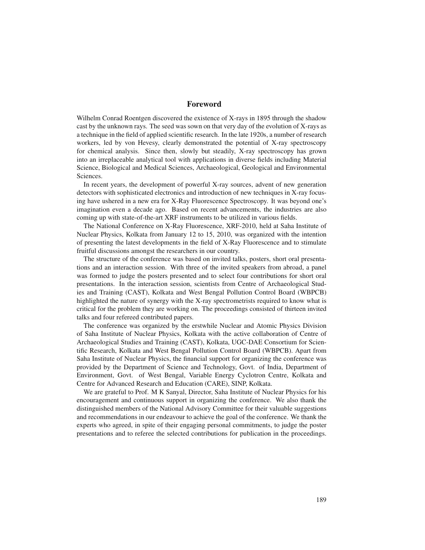## **Foreword**

Wilhelm Conrad Roentgen discovered the existence of X-rays in 1895 through the shadow cast by the unknown rays. The seed was sown on that very day of the evolution of X-rays as a technique in the field of applied scientific research. In the late 1920s, a number of research workers, led by von Hevesy, clearly demonstrated the potential of X-ray spectroscopy for chemical analysis. Since then, slowly but steadily, X-ray spectroscopy has grown into an irreplaceable analytical tool with applications in diverse fields including Material Science, Biological and Medical Sciences, Archaeological, Geological and Environmental Sciences.

In recent years, the development of powerful X-ray sources, advent of new generation detectors with sophisticated electronics and introduction of new techniques in X-ray focusing have ushered in a new era for X-Ray Fluorescence Spectroscopy. It was beyond one's imagination even a decade ago. Based on recent advancements, the industries are also coming up with state-of-the-art XRF instruments to be utilized in various fields.

The National Conference on X-Ray Fluorescence, XRF-2010, held at Saha Institute of Nuclear Physics, Kolkata from January 12 to 15, 2010, was organized with the intention of presenting the latest developments in the field of X-Ray Fluorescence and to stimulate fruitful discussions amongst the researchers in our country.

The structure of the conference was based on invited talks, posters, short oral presentations and an interaction session. With three of the invited speakers from abroad, a panel was formed to judge the posters presented and to select four contributions for short oral presentations. In the interaction session, scientists from Centre of Archaeological Studies and Training (CAST), Kolkata and West Bengal Pollution Control Board (WBPCB) highlighted the nature of synergy with the X-ray spectrometrists required to know what is critical for the problem they are working on. The proceedings consisted of thirteen invited talks and four refereed contributed papers.

The conference was organized by the erstwhile Nuclear and Atomic Physics Division of Saha Institute of Nuclear Physics, Kolkata with the active collaboration of Centre of Archaeological Studies and Training (CAST), Kolkata, UGC-DAE Consortium for Scientific Research, Kolkata and West Bengal Pollution Control Board (WBPCB). Apart from Saha Institute of Nuclear Physics, the financial support for organizing the conference was provided by the Department of Science and Technology, Govt. of India, Department of Environment, Govt. of West Bengal, Variable Energy Cyclotron Centre, Kolkata and Centre for Advanced Research and Education (CARE), SINP, Kolkata.

We are grateful to Prof. M K Sanyal, Director, Saha Institute of Nuclear Physics for his encouragement and continuous support in organizing the conference. We also thank the distinguished members of the National Advisory Committee for their valuable suggestions and recommendations in our endeavour to achieve the goal of the conference. We thank the experts who agreed, in spite of their engaging personal commitments, to judge the poster presentations and to referee the selected contributions for publication in the proceedings.